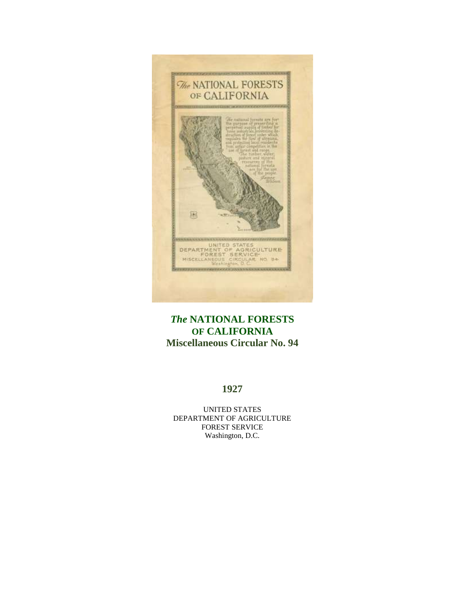

# *The* **NATIONAL FORESTS OF CALIFORNIA Miscellaneous Circular No. 94**

### **1927**

UNITED STATES DEPARTMENT OF AGRICULTURE FOREST SERVICE Washington, D.C.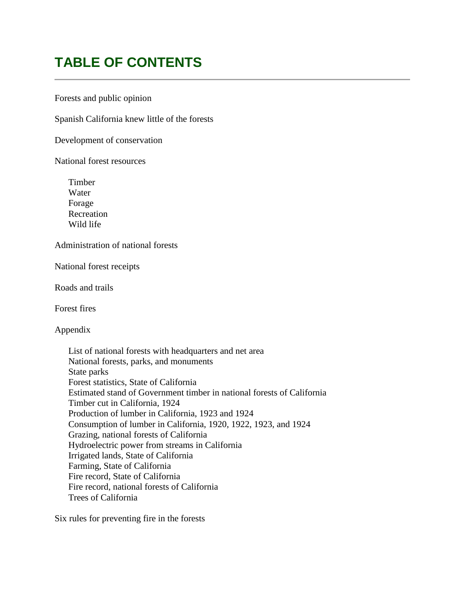# **TABLE OF CONTENTS**

Forests and public opinion

Spanish California knew little of the forests

Development of conservation

National forest resources

Timber Water Forage Recreation Wild life

Administration of national forests

National forest receipts

Roads and trails

Forest fires

Appendix

List of national forests with headquarters and net area National forests, parks, and monuments State parks Forest statistics, State of California Estimated stand of Government timber in national forests of California Timber cut in California, 1924 Production of lumber in California, 1923 and 1924 Consumption of lumber in California, 1920, 1922, 1923, and 1924 Grazing, national forests of California Hydroelectric power from streams in California Irrigated lands, State of California Farming, State of California Fire record, State of California Fire record, national forests of California Trees of California

Six rules for preventing fire in the forests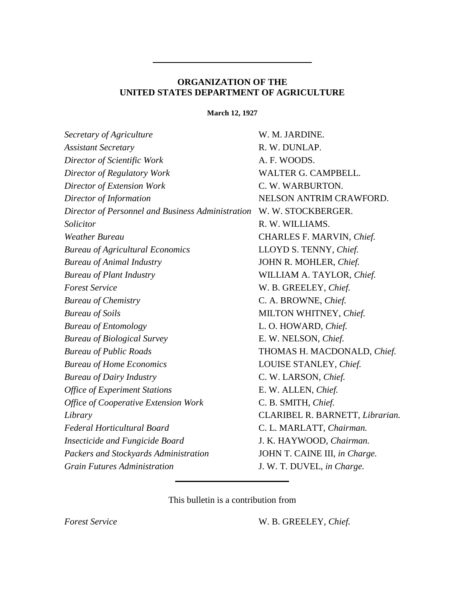### **ORGANIZATION OF THE UNITED STATES DEPARTMENT OF AGRICULTURE**

**March 12, 1927**

| Secretary of Agriculture                          | W. M. JARDINE.                  |
|---------------------------------------------------|---------------------------------|
| <b>Assistant Secretary</b>                        | R. W. DUNLAP.                   |
| Director of Scientific Work                       | A. F. WOODS.                    |
| Director of Regulatory Work                       | WALTER G. CAMPBELL.             |
| Director of Extension Work                        | C. W. WARBURTON.                |
| Director of Information                           | NELSON ANTRIM CRAWFORD.         |
| Director of Personnel and Business Administration | W. W. STOCKBERGER.              |
| Solicitor                                         | R. W. WILLIAMS.                 |
| <b>Weather Bureau</b>                             | CHARLES F. MARVIN, Chief.       |
| <b>Bureau of Agricultural Economics</b>           | LLOYD S. TENNY, Chief.          |
| <b>Bureau of Animal Industry</b>                  | JOHN R. MOHLER, Chief.          |
| <b>Bureau of Plant Industry</b>                   | WILLIAM A. TAYLOR, Chief.       |
| <b>Forest Service</b>                             | W. B. GREELEY, Chief.           |
| <b>Bureau of Chemistry</b>                        | C. A. BROWNE, Chief.            |
| <b>Bureau</b> of Soils                            | MILTON WHITNEY, Chief.          |
| <b>Bureau of Entomology</b>                       | L. O. HOWARD, Chief.            |
| <b>Bureau of Biological Survey</b>                | E. W. NELSON, Chief.            |
| <b>Bureau of Public Roads</b>                     | THOMAS H. MACDONALD, Chief.     |
| <b>Bureau of Home Economics</b>                   | LOUISE STANLEY, Chief.          |
| <b>Bureau of Dairy Industry</b>                   | C. W. LARSON, Chief.            |
| <b>Office of Experiment Stations</b>              | E. W. ALLEN, Chief.             |
| <b>Office of Cooperative Extension Work</b>       | C. B. SMITH, Chief.             |
| Library                                           | CLARIBEL R. BARNETT, Librarian. |
| Federal Horticultural Board                       | C. L. MARLATT, Chairman.        |
| <b>Insecticide and Fungicide Board</b>            | J. K. HAYWOOD, Chairman.        |
| Packers and Stockyards Administration             | JOHN T. CAINE III, in Charge.   |
| <b>Grain Futures Administration</b>               | J. W. T. DUVEL, in Charge.      |
|                                                   |                                 |

This bulletin is a contribution from

*Forest Service* W. B. GREELEY, *Chief.*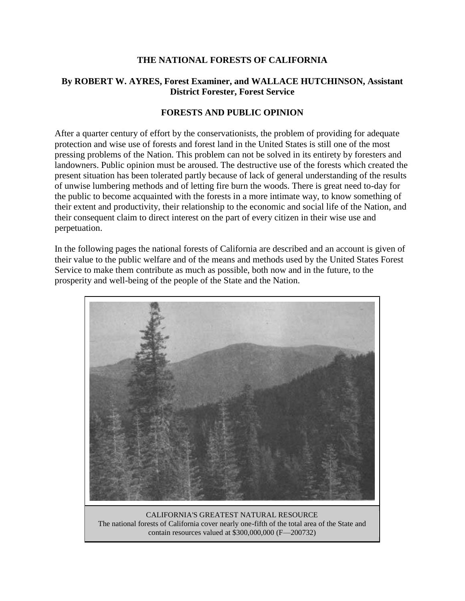### **THE NATIONAL FORESTS OF CALIFORNIA**

### **By ROBERT W. AYRES, Forest Examiner, and WALLACE HUTCHINSON, Assistant District Forester, Forest Service**

### **FORESTS AND PUBLIC OPINION**

After a quarter century of effort by the conservationists, the problem of providing for adequate protection and wise use of forests and forest land in the United States is still one of the most pressing problems of the Nation. This problem can not be solved in its entirety by foresters and landowners. Public opinion must be aroused. The destructive use of the forests which created the present situation has been tolerated partly because of lack of general understanding of the results of unwise lumbering methods and of letting fire burn the woods. There is great need to-day for the public to become acquainted with the forests in a more intimate way, to know something of their extent and productivity, their relationship to the economic and social life of the Nation, and their consequent claim to direct interest on the part of every citizen in their wise use and perpetuation.

In the following pages the national forests of California are described and an account is given of their value to the public welfare and of the means and methods used by the United States Forest Service to make them contribute as much as possible, both now and in the future, to the prosperity and well-being of the people of the State and the Nation.



CALIFORNIA'S GREATEST NATURAL RESOURCE The national forests of California cover nearly one-fifth of the total area of the State and contain resources valued at \$300,000,000 (F—200732)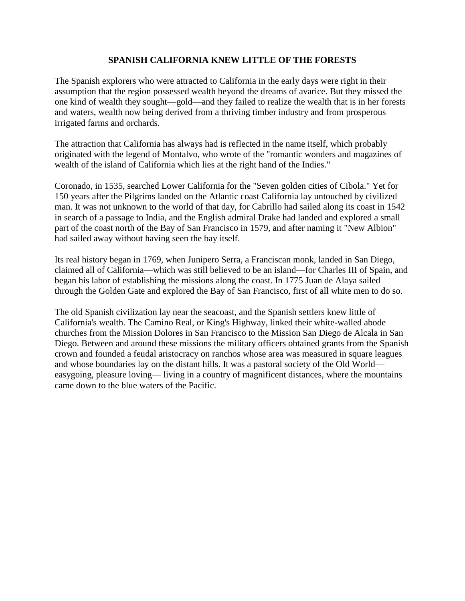### **SPANISH CALIFORNIA KNEW LITTLE OF THE FORESTS**

The Spanish explorers who were attracted to California in the early days were right in their assumption that the region possessed wealth beyond the dreams of avarice. But they missed the one kind of wealth they sought—gold—and they failed to realize the wealth that is in her forests and waters, wealth now being derived from a thriving timber industry and from prosperous irrigated farms and orchards.

The attraction that California has always had is reflected in the name itself, which probably originated with the legend of Montalvo, who wrote of the "romantic wonders and magazines of wealth of the island of California which lies at the right hand of the Indies."

Coronado, in 1535, searched Lower California for the "Seven golden cities of Cibola." Yet for 150 years after the Pilgrims landed on the Atlantic coast California lay untouched by civilized man. It was not unknown to the world of that day, for Cabrillo had sailed along its coast in 1542 in search of a passage to India, and the English admiral Drake had landed and explored a small part of the coast north of the Bay of San Francisco in 1579, and after naming it "New Albion" had sailed away without having seen the bay itself.

Its real history began in 1769, when Junipero Serra, a Franciscan monk, landed in San Diego, claimed all of California—which was still believed to be an island—for Charles III of Spain, and began his labor of establishing the missions along the coast. In 1775 Juan de Alaya sailed through the Golden Gate and explored the Bay of San Francisco, first of all white men to do so.

The old Spanish civilization lay near the seacoast, and the Spanish settlers knew little of California's wealth. The Camino Real, or King's Highway, linked their white-walled abode churches from the Mission Dolores in San Francisco to the Mission San Diego de Alcala in San Diego. Between and around these missions the military officers obtained grants from the Spanish crown and founded a feudal aristocracy on ranchos whose area was measured in square leagues and whose boundaries lay on the distant hills. It was a pastoral society of the Old World easygoing, pleasure loving— living in a country of magnificent distances, where the mountains came down to the blue waters of the Pacific.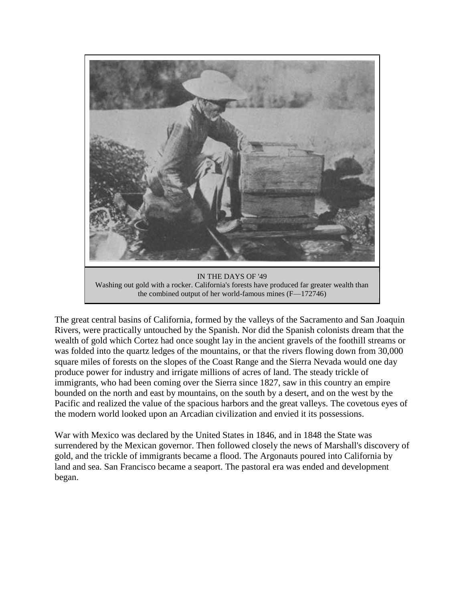

IN THE DAYS OF '49 Washing out gold with a rocker. California's forests have produced far greater wealth than the combined output of her world-famous mines (F—172746)

The great central basins of California, formed by the valleys of the Sacramento and San Joaquin Rivers, were practically untouched by the Spanish. Nor did the Spanish colonists dream that the wealth of gold which Cortez had once sought lay in the ancient gravels of the foothill streams or was folded into the quartz ledges of the mountains, or that the rivers flowing down from 30,000 square miles of forests on the slopes of the Coast Range and the Sierra Nevada would one day produce power for industry and irrigate millions of acres of land. The steady trickle of immigrants, who had been coming over the Sierra since 1827, saw in this country an empire bounded on the north and east by mountains, on the south by a desert, and on the west by the Pacific and realized the value of the spacious harbors and the great valleys. The covetous eyes of the modern world looked upon an Arcadian civilization and envied it its possessions.

War with Mexico was declared by the United States in 1846, and in 1848 the State was surrendered by the Mexican governor. Then followed closely the news of Marshall's discovery of gold, and the trickle of immigrants became a flood. The Argonauts poured into California by land and sea. San Francisco became a seaport. The pastoral era was ended and development began.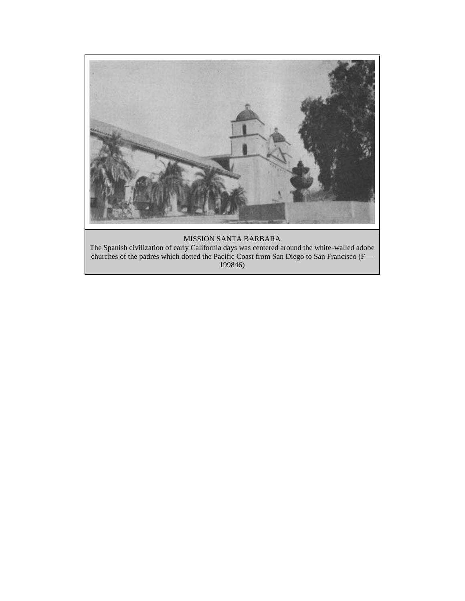

#### MISSION SANTA BARBARA

The Spanish civilization of early California days was centered around the white-walled adobe churches of the padres which dotted the Pacific Coast from San Diego to San Francisco (F— 199846)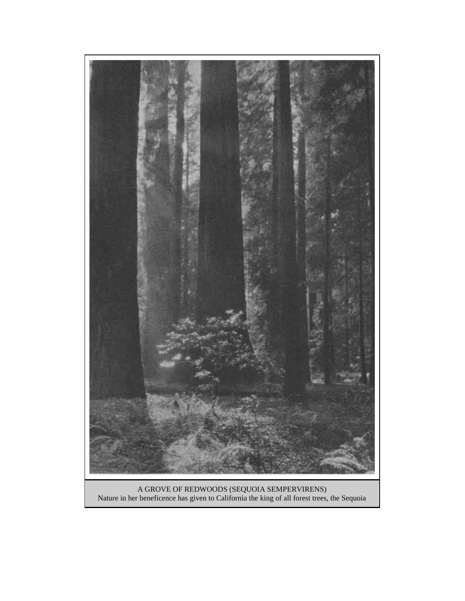

A GROVE OF REDWOODS (SEQUOIA SEMPERVIRENS) Nature in her beneficence has given to California the king of all forest trees, the Sequoia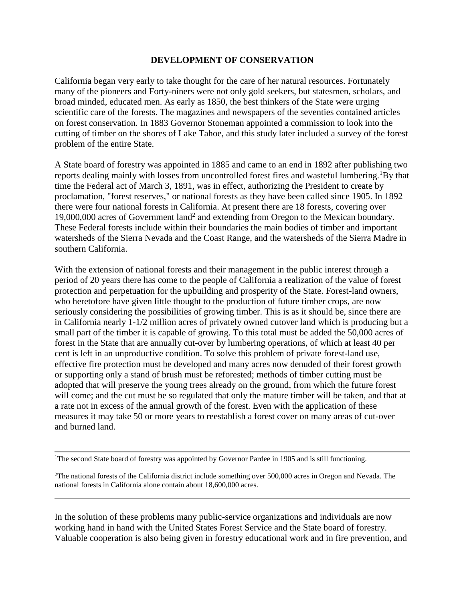### **DEVELOPMENT OF CONSERVATION**

California began very early to take thought for the care of her natural resources. Fortunately many of the pioneers and Forty-niners were not only gold seekers, but statesmen, scholars, and broad minded, educated men. As early as 1850, the best thinkers of the State were urging scientific care of the forests. The magazines and newspapers of the seventies contained articles on forest conservation. In 1883 Governor Stoneman appointed a commission to look into the cutting of timber on the shores of Lake Tahoe, and this study later included a survey of the forest problem of the entire State.

A State board of forestry was appointed in 1885 and came to an end in 1892 after publishing two reports dealing mainly with losses from uncontrolled forest fires and wasteful lumbering.<sup>1</sup>By that time the Federal act of March 3, 1891, was in effect, authorizing the President to create by proclamation, "forest reserves," or national forests as they have been called since 1905. In 1892 there were four national forests in California. At present there are 18 forests, covering over 19,000,000 acres of Government land<sup>2</sup> and extending from Oregon to the Mexican boundary. These Federal forests include within their boundaries the main bodies of timber and important watersheds of the Sierra Nevada and the Coast Range, and the watersheds of the Sierra Madre in southern California.

With the extension of national forests and their management in the public interest through a period of 20 years there has come to the people of California a realization of the value of forest protection and perpetuation for the upbuilding and prosperity of the State. Forest-land owners, who heretofore have given little thought to the production of future timber crops, are now seriously considering the possibilities of growing timber. This is as it should be, since there are in California nearly 1-1/2 million acres of privately owned cutover land which is producing but a small part of the timber it is capable of growing. To this total must be added the 50,000 acres of forest in the State that are annually cut-over by lumbering operations, of which at least 40 per cent is left in an unproductive condition. To solve this problem of private forest-land use, effective fire protection must be developed and many acres now denuded of their forest growth or supporting only a stand of brush must be reforested; methods of timber cutting must be adopted that will preserve the young trees already on the ground, from which the future forest will come; and the cut must be so regulated that only the mature timber will be taken, and that at a rate not in excess of the annual growth of the forest. Even with the application of these measures it may take 50 or more years to reestablish a forest cover on many areas of cut-over and burned land.

In the solution of these problems many public-service organizations and individuals are now working hand in hand with the United States Forest Service and the State board of forestry. Valuable cooperation is also being given in forestry educational work and in fire prevention, and

<sup>&</sup>lt;sup>1</sup>The second State board of forestry was appointed by Governor Pardee in 1905 and is still functioning.

 $2$ The national forests of the California district include something over 500,000 acres in Oregon and Nevada. The national forests in California alone contain about 18,600,000 acres.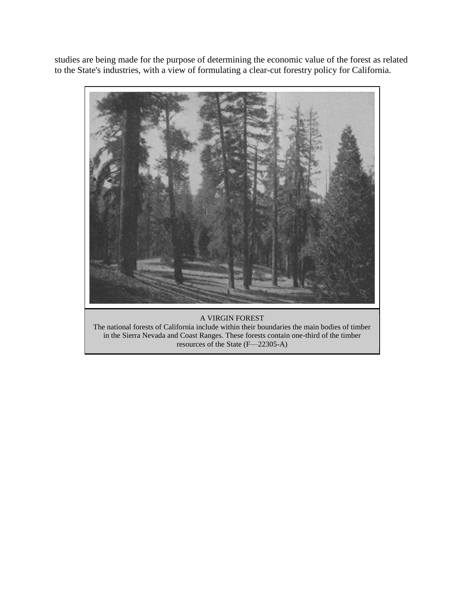studies are being made for the purpose of determining the economic value of the forest as related to the State's industries, with a view of formulating a clear-cut forestry policy for California.



The national forests of California include within their boundaries the main bodies of timber in the Sierra Nevada and Coast Ranges. These forests contain one-third of the timber resources of the State (F—22305-A)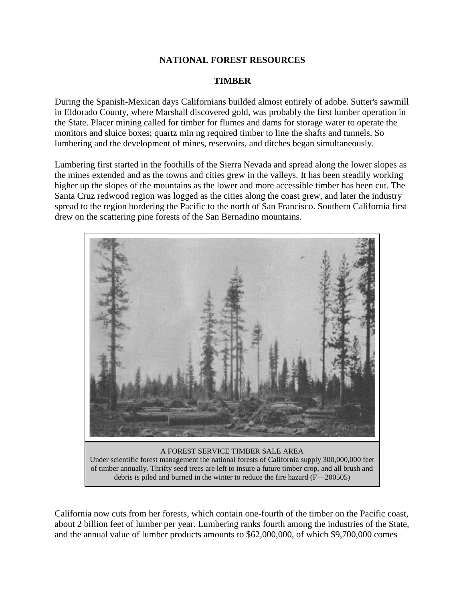### **NATIONAL FOREST RESOURCES**

#### **TIMBER**

During the Spanish-Mexican days Californians builded almost entirely of adobe. Sutter's sawmill in Eldorado County, where Marshall discovered gold, was probably the first lumber operation in the State. Placer mining called for timber for flumes and dams for storage water to operate the monitors and sluice boxes; quartz min ng required timber to line the shafts and tunnels. So lumbering and the development of mines, reservoirs, and ditches began simultaneously.

Lumbering first started in the foothills of the Sierra Nevada and spread along the lower slopes as the mines extended and as the towns and cities grew in the valleys. It has been steadily working higher up the slopes of the mountains as the lower and more accessible timber has been cut. The Santa Cruz redwood region was logged as the cities along the coast grew, and later the industry spread to the region bordering the Pacific to the north of San Francisco. Southern California first drew on the scattering pine forests of the San Bernadino mountains.



California now cuts from her forests, which contain one-fourth of the timber on the Pacific coast, about 2 billion feet of lumber per year. Lumbering ranks fourth among the industries of the State, and the annual value of lumber products amounts to \$62,000,000, of which \$9,700,000 comes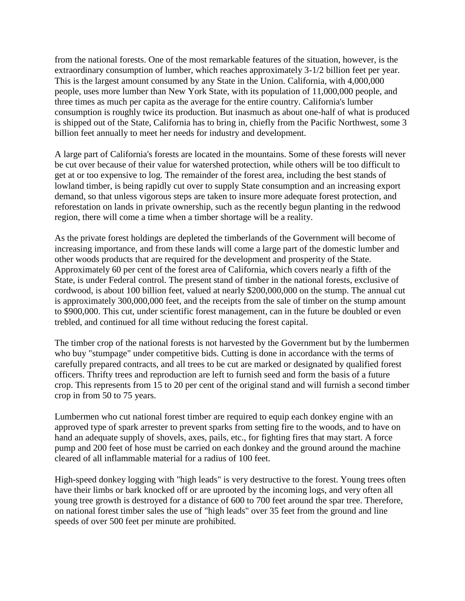from the national forests. One of the most remarkable features of the situation, however, is the extraordinary consumption of lumber, which reaches approximately 3-1/2 billion feet per year. This is the largest amount consumed by any State in the Union. California, with 4,000,000 people, uses more lumber than New York State, with its population of 11,000,000 people, and three times as much per capita as the average for the entire country. California's lumber consumption is roughly twice its production. But inasmuch as about one-half of what is produced is shipped out of the State, California has to bring in, chiefly from the Pacific Northwest, some 3 billion feet annually to meet her needs for industry and development.

A large part of California's forests are located in the mountains. Some of these forests will never be cut over because of their value for watershed protection, while others will be too difficult to get at or too expensive to log. The remainder of the forest area, including the best stands of lowland timber, is being rapidly cut over to supply State consumption and an increasing export demand, so that unless vigorous steps are taken to insure more adequate forest protection, and reforestation on lands in private ownership, such as the recently begun planting in the redwood region, there will come a time when a timber shortage will be a reality.

As the private forest holdings are depleted the timberlands of the Government will become of increasing importance, and from these lands will come a large part of the domestic lumber and other woods products that are required for the development and prosperity of the State. Approximately 60 per cent of the forest area of California, which covers nearly a fifth of the State, is under Federal control. The present stand of timber in the national forests, exclusive of cordwood, is about 100 billion feet, valued at nearly \$200,000,000 on the stump. The annual cut is approximately 300,000,000 feet, and the receipts from the sale of timber on the stump amount to \$900,000. This cut, under scientific forest management, can in the future be doubled or even trebled, and continued for all time without reducing the forest capital.

The timber crop of the national forests is not harvested by the Government but by the lumbermen who buy "stumpage" under competitive bids. Cutting is done in accordance with the terms of carefully prepared contracts, and all trees to be cut are marked or designated by qualified forest officers. Thrifty trees and reproduction are left to furnish seed and form the basis of a future crop. This represents from 15 to 20 per cent of the original stand and will furnish a second timber crop in from 50 to 75 years.

Lumbermen who cut national forest timber are required to equip each donkey engine with an approved type of spark arrester to prevent sparks from setting fire to the woods, and to have on hand an adequate supply of shovels, axes, pails, etc., for fighting fires that may start. A force pump and 200 feet of hose must be carried on each donkey and the ground around the machine cleared of all inflammable material for a radius of 100 feet.

High-speed donkey logging with "high leads" is very destructive to the forest. Young trees often have their limbs or bark knocked off or are uprooted by the incoming logs, and very often all young tree growth is destroyed for a distance of 600 to 700 feet around the spar tree. Therefore, on national forest timber sales the use of "high leads" over 35 feet from the ground and line speeds of over 500 feet per minute are prohibited.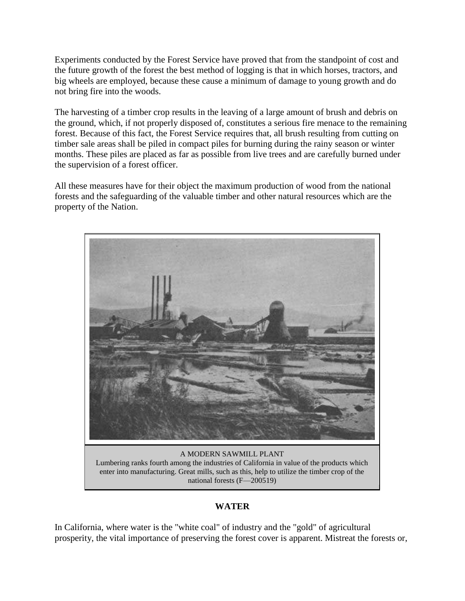Experiments conducted by the Forest Service have proved that from the standpoint of cost and the future growth of the forest the best method of logging is that in which horses, tractors, and big wheels are employed, because these cause a minimum of damage to young growth and do not bring fire into the woods.

The harvesting of a timber crop results in the leaving of a large amount of brush and debris on the ground, which, if not properly disposed of, constitutes a serious fire menace to the remaining forest. Because of this fact, the Forest Service requires that, all brush resulting from cutting on timber sale areas shall be piled in compact piles for burning during the rainy season or winter months. These piles are placed as far as possible from live trees and are carefully burned under the supervision of a forest officer.

All these measures have for their object the maximum production of wood from the national forests and the safeguarding of the valuable timber and other natural resources which are the property of the Nation.



A MODERN SAWMILL PLANT Lumbering ranks fourth among the industries of California in value of the products which enter into manufacturing. Great mills, such as this, help to utilize the timber crop of the national forests (F—200519)

### **WATER**

In California, where water is the "white coal" of industry and the "gold" of agricultural prosperity, the vital importance of preserving the forest cover is apparent. Mistreat the forests or,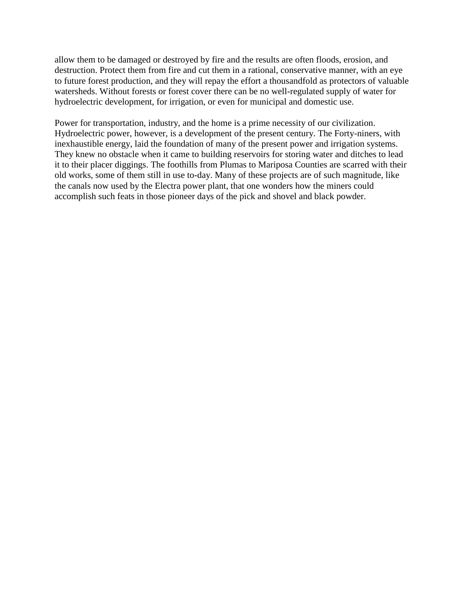allow them to be damaged or destroyed by fire and the results are often floods, erosion, and destruction. Protect them from fire and cut them in a rational, conservative manner, with an eye to future forest production, and they will repay the effort a thousandfold as protectors of valuable watersheds. Without forests or forest cover there can be no well-regulated supply of water for hydroelectric development, for irrigation, or even for municipal and domestic use.

Power for transportation, industry, and the home is a prime necessity of our civilization. Hydroelectric power, however, is a development of the present century. The Forty-niners, with inexhaustible energy, laid the foundation of many of the present power and irrigation systems. They knew no obstacle when it came to building reservoirs for storing water and ditches to lead it to their placer diggings. The foothills from Plumas to Mariposa Counties are scarred with their old works, some of them still in use to-day. Many of these projects are of such magnitude, like the canals now used by the Electra power plant, that one wonders how the miners could accomplish such feats in those pioneer days of the pick and shovel and black powder.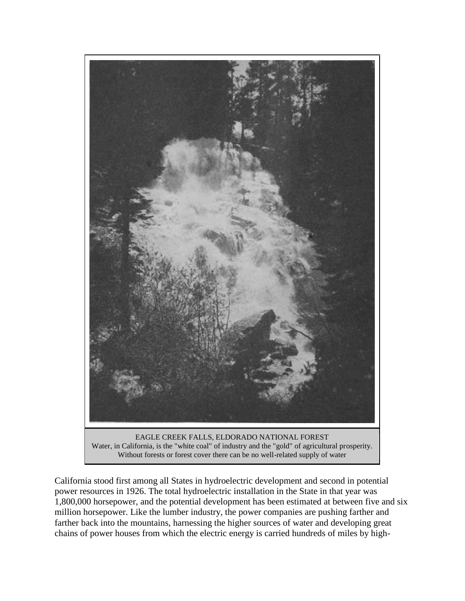

EAGLE CREEK FALLS, ELDORADO NATIONAL FOREST Water, in California, is the "white coal" of industry and the "gold" of agricultural prosperity. Without forests or forest cover there can be no well-related supply of water

California stood first among all States in hydroelectric development and second in potential power resources in 1926. The total hydroelectric installation in the State in that year was 1,800,000 horsepower, and the potential development has been estimated at between five and six million horsepower. Like the lumber industry, the power companies are pushing farther and farther back into the mountains, harnessing the higher sources of water and developing great chains of power houses from which the electric energy is carried hundreds of miles by high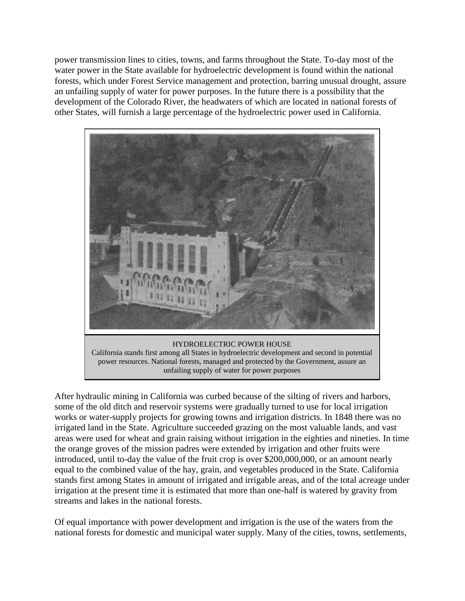power transmission lines to cities, towns, and farms throughout the State. To-day most of the water power in the State available for hydroelectric development is found within the national forests, which under Forest Service management and protection, barring unusual drought, assure an unfailing supply of water for power purposes. In the future there is a possibility that the development of the Colorado River, the headwaters of which are located in national forests of other States, will furnish a large percentage of the hydroelectric power used in California.



unfailing supply of water for power purposes

After hydraulic mining in California was curbed because of the silting of rivers and harbors, some of the old ditch and reservoir systems were gradually turned to use for local irrigation works or water-supply projects for growing towns and irrigation districts. In 1848 there was no irrigated land in the State. Agriculture succeeded grazing on the most valuable lands, and vast areas were used for wheat and grain raising without irrigation in the eighties and nineties. In time the orange groves of the mission padres were extended by irrigation and other fruits were introduced, until to-day the value of the fruit crop is over \$200,000,000, or an amount nearly equal to the combined value of the hay, grain, and vegetables produced in the State. California stands first among States in amount of irrigated and irrigable areas, and of the total acreage under irrigation at the present time it is estimated that more than one-half is watered by gravity from streams and lakes in the national forests.

Of equal importance with power development and irrigation is the use of the waters from the national forests for domestic and municipal water supply. Many of the cities, towns, settlements,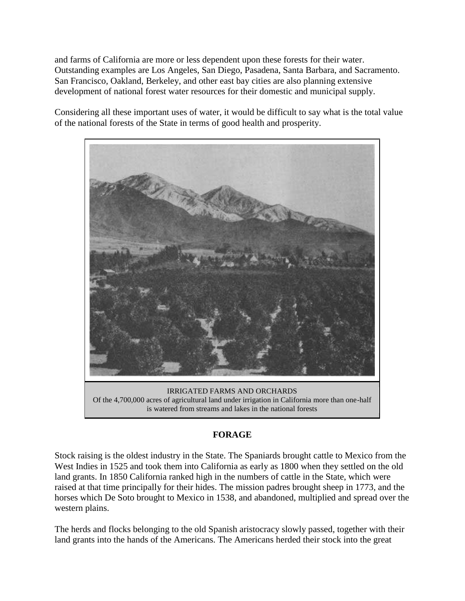and farms of California are more or less dependent upon these forests for their water. Outstanding examples are Los Angeles, San Diego, Pasadena, Santa Barbara, and Sacramento. San Francisco, Oakland, Berkeley, and other east bay cities are also planning extensive development of national forest water resources for their domestic and municipal supply.

Considering all these important uses of water, it would be difficult to say what is the total value of the national forests of the State in terms of good health and prosperity.



### **FORAGE**

Stock raising is the oldest industry in the State. The Spaniards brought cattle to Mexico from the West Indies in 1525 and took them into California as early as 1800 when they settled on the old land grants. In 1850 California ranked high in the numbers of cattle in the State, which were raised at that time principally for their hides. The mission padres brought sheep in 1773, and the horses which De Soto brought to Mexico in 1538, and abandoned, multiplied and spread over the western plains.

The herds and flocks belonging to the old Spanish aristocracy slowly passed, together with their land grants into the hands of the Americans. The Americans herded their stock into the great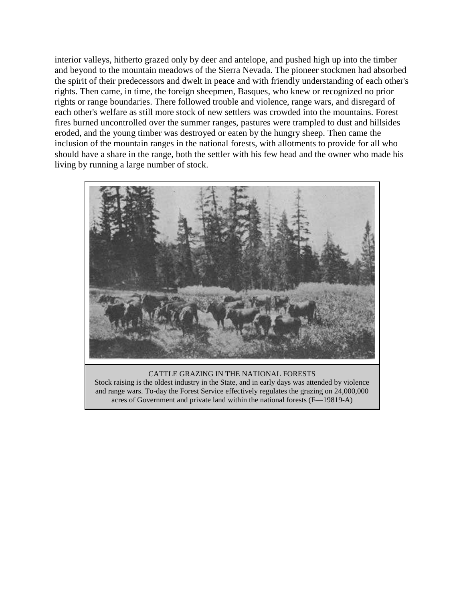interior valleys, hitherto grazed only by deer and antelope, and pushed high up into the timber and beyond to the mountain meadows of the Sierra Nevada. The pioneer stockmen had absorbed the spirit of their predecessors and dwelt in peace and with friendly understanding of each other's rights. Then came, in time, the foreign sheepmen, Basques, who knew or recognized no prior rights or range boundaries. There followed trouble and violence, range wars, and disregard of each other's welfare as still more stock of new settlers was crowded into the mountains. Forest fires burned uncontrolled over the summer ranges, pastures were trampled to dust and hillsides eroded, and the young timber was destroyed or eaten by the hungry sheep. Then came the inclusion of the mountain ranges in the national forests, with allotments to provide for all who should have a share in the range, both the settler with his few head and the owner who made his living by running a large number of stock.



CATTLE GRAZING IN THE NATIONAL FORESTS Stock raising is the oldest industry in the State, and in early days was attended by violence and range wars. To-day the Forest Service effectively regulates the grazing on 24,000,000 acres of Government and private land within the national forests (F—19819-A)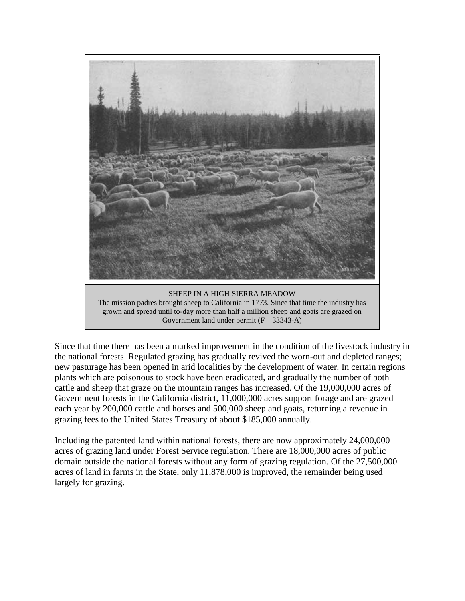

Since that time there has been a marked improvement in the condition of the livestock industry in the national forests. Regulated grazing has gradually revived the worn-out and depleted ranges; new pasturage has been opened in arid localities by the development of water. In certain regions plants which are poisonous to stock have been eradicated, and gradually the number of both cattle and sheep that graze on the mountain ranges has increased. Of the 19,000,000 acres of Government forests in the California district, 11,000,000 acres support forage and are grazed each year by 200,000 cattle and horses and 500,000 sheep and goats, returning a revenue in grazing fees to the United States Treasury of about \$185,000 annually.

Including the patented land within national forests, there are now approximately 24,000,000 acres of grazing land under Forest Service regulation. There are 18,000,000 acres of public domain outside the national forests without any form of grazing regulation. Of the 27,500,000 acres of land in farms in the State, only 11,878,000 is improved, the remainder being used largely for grazing.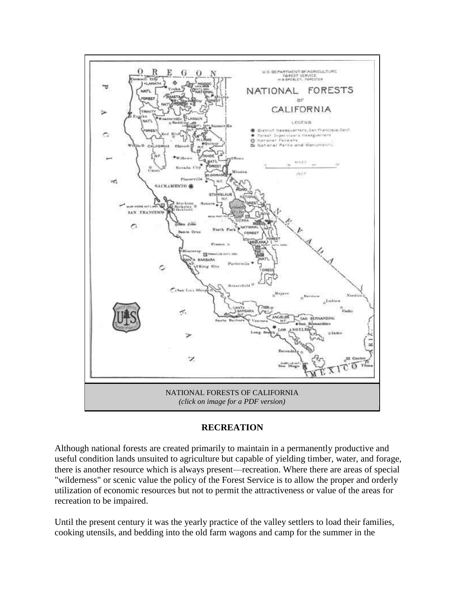

### **RECREATION**

Although national forests are created primarily to maintain in a permanently productive and useful condition lands unsuited to agriculture but capable of yielding timber, water, and forage, there is another resource which is always present—recreation. Where there are areas of special "wilderness" or scenic value the policy of the Forest Service is to allow the proper and orderly utilization of economic resources but not to permit the attractiveness or value of the areas for recreation to be impaired.

Until the present century it was the yearly practice of the valley settlers to load their families, cooking utensils, and bedding into the old farm wagons and camp for the summer in the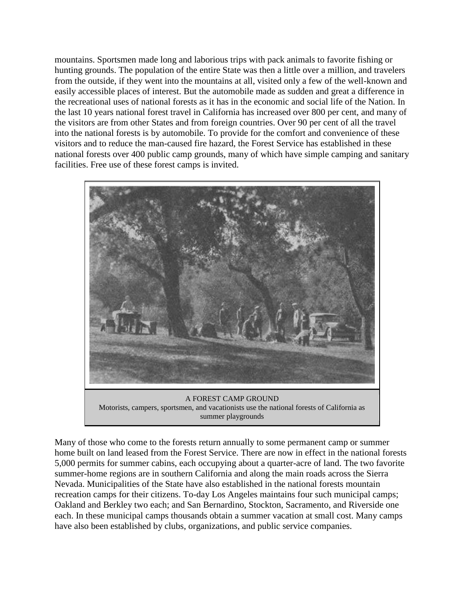mountains. Sportsmen made long and laborious trips with pack animals to favorite fishing or hunting grounds. The population of the entire State was then a little over a million, and travelers from the outside, if they went into the mountains at all, visited only a few of the well-known and easily accessible places of interest. But the automobile made as sudden and great a difference in the recreational uses of national forests as it has in the economic and social life of the Nation. In the last 10 years national forest travel in California has increased over 800 per cent, and many of the visitors are from other States and from foreign countries. Over 90 per cent of all the travel into the national forests is by automobile. To provide for the comfort and convenience of these visitors and to reduce the man-caused fire hazard, the Forest Service has established in these national forests over 400 public camp grounds, many of which have simple camping and sanitary facilities. Free use of these forest camps is invited.



summer playgrounds

Many of those who come to the forests return annually to some permanent camp or summer home built on land leased from the Forest Service. There are now in effect in the national forests 5,000 permits for summer cabins, each occupying about a quarter-acre of land. The two favorite summer-home regions are in southern California and along the main roads across the Sierra Nevada. Municipalities of the State have also established in the national forests mountain recreation camps for their citizens. To-day Los Angeles maintains four such municipal camps; Oakland and Berkley two each; and San Bernardino, Stockton, Sacramento, and Riverside one each. In these municipal camps thousands obtain a summer vacation at small cost. Many camps have also been established by clubs, organizations, and public service companies.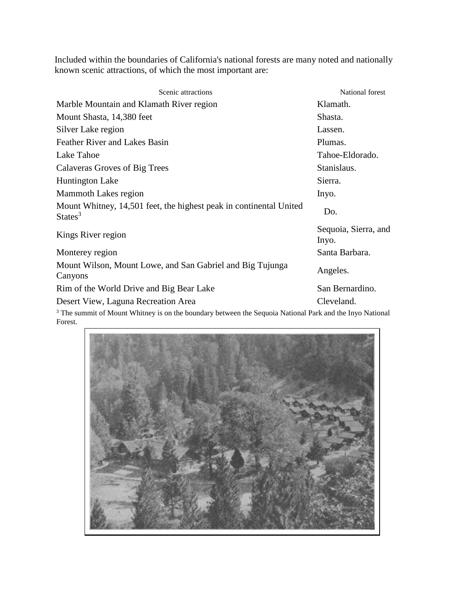Included within the boundaries of California's national forests are many noted and nationally known scenic attractions, of which the most important are:

| Scenic attractions                                                                                                             | National forest               |
|--------------------------------------------------------------------------------------------------------------------------------|-------------------------------|
| Marble Mountain and Klamath River region                                                                                       | Klamath.                      |
| Mount Shasta, 14,380 feet                                                                                                      | Shasta.                       |
| Silver Lake region                                                                                                             | Lassen.                       |
| Feather River and Lakes Basin                                                                                                  | Plumas.                       |
| Lake Tahoe                                                                                                                     | Tahoe-Eldorado.               |
| Calaveras Groves of Big Trees                                                                                                  | Stanislaus.                   |
| <b>Huntington Lake</b>                                                                                                         | Sierra.                       |
| Mammoth Lakes region                                                                                                           | Inyo.                         |
| Mount Whitney, 14,501 feet, the highest peak in continental United<br>States <sup>3</sup>                                      | Do.                           |
| Kings River region                                                                                                             | Sequoia, Sierra, and<br>Inyo. |
| Monterey region                                                                                                                | Santa Barbara.                |
| Mount Wilson, Mount Lowe, and San Gabriel and Big Tujunga<br>Canyons                                                           | Angeles.                      |
| Rim of the World Drive and Big Bear Lake                                                                                       | San Bernardino.               |
| Desert View, Laguna Recreation Area                                                                                            | Cleveland.                    |
| <sup>3</sup> The summit of Mount Whitney is on the boundary between the Sequoia National Park and the Inyo National<br>Forest. |                               |

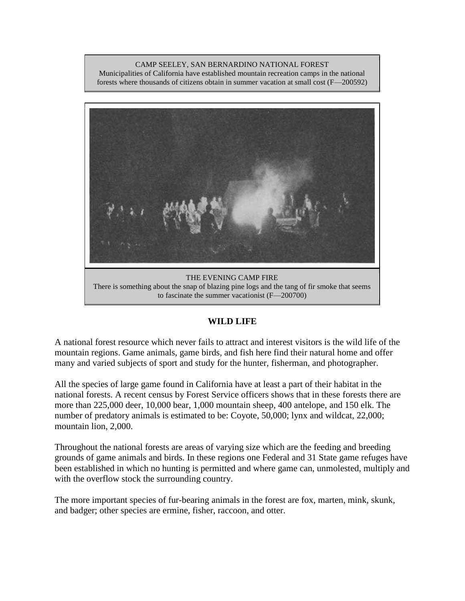CAMP SEELEY, SAN BERNARDINO NATIONAL FOREST Municipalities of California have established mountain recreation camps in the national forests where thousands of citizens obtain in summer vacation at small cost (F—200592)



There is something about the snap of blazing pine logs and the tang of fir smoke that seems to fascinate the summer vacationist (F—200700)

### **WILD LIFE**

A national forest resource which never fails to attract and interest visitors is the wild life of the mountain regions. Game animals, game birds, and fish here find their natural home and offer many and varied subjects of sport and study for the hunter, fisherman, and photographer.

All the species of large game found in California have at least a part of their habitat in the national forests. A recent census by Forest Service officers shows that in these forests there are more than 225,000 deer, 10,000 bear, 1,000 mountain sheep, 400 antelope, and 150 elk. The number of predatory animals is estimated to be: Coyote, 50,000; lynx and wildcat, 22,000; mountain lion, 2,000.

Throughout the national forests are areas of varying size which are the feeding and breeding grounds of game animals and birds. In these regions one Federal and 31 State game refuges have been established in which no hunting is permitted and where game can, unmolested, multiply and with the overflow stock the surrounding country.

The more important species of fur-bearing animals in the forest are fox, marten, mink, skunk, and badger; other species are ermine, fisher, raccoon, and otter.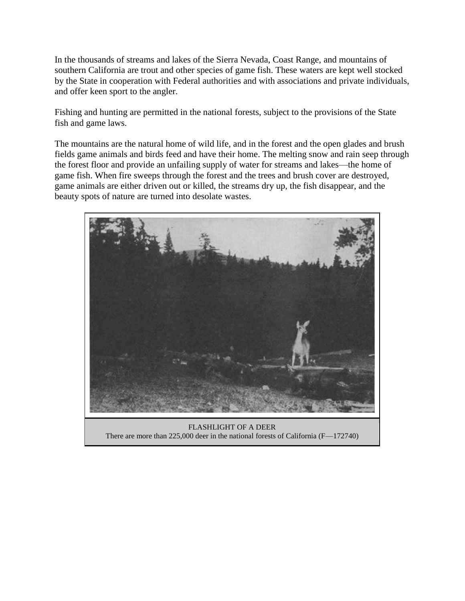In the thousands of streams and lakes of the Sierra Nevada, Coast Range, and mountains of southern California are trout and other species of game fish. These waters are kept well stocked by the State in cooperation with Federal authorities and with associations and private individuals, and offer keen sport to the angler.

Fishing and hunting are permitted in the national forests, subject to the provisions of the State fish and game laws.

The mountains are the natural home of wild life, and in the forest and the open glades and brush fields game animals and birds feed and have their home. The melting snow and rain seep through the forest floor and provide an unfailing supply of water for streams and lakes—the home of game fish. When fire sweeps through the forest and the trees and brush cover are destroyed, game animals are either driven out or killed, the streams dry up, the fish disappear, and the beauty spots of nature are turned into desolate wastes.



FLASHLIGHT OF A DEER There are more than 225,000 deer in the national forests of California (F—172740)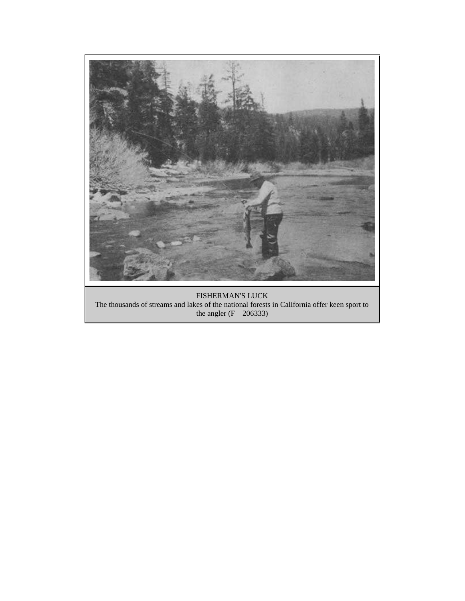

FISHERMAN'S LUCK The thousands of streams and lakes of the national forests in California offer keen sport to the angler (F—206333)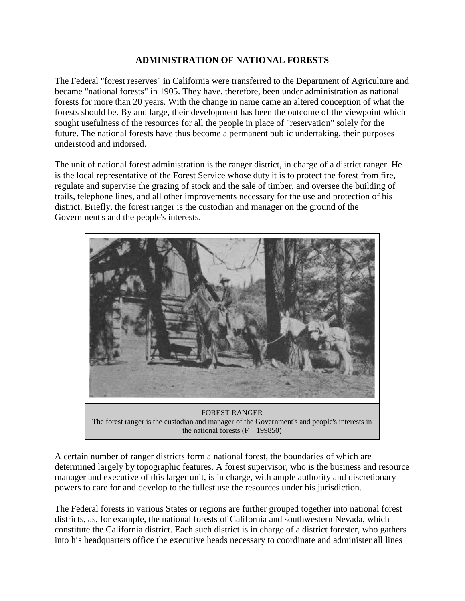### **ADMINISTRATION OF NATIONAL FORESTS**

The Federal "forest reserves" in California were transferred to the Department of Agriculture and became "national forests" in 1905. They have, therefore, been under administration as national forests for more than 20 years. With the change in name came an altered conception of what the forests should be. By and large, their development has been the outcome of the viewpoint which sought usefulness of the resources for all the people in place of "reservation" solely for the future. The national forests have thus become a permanent public undertaking, their purposes understood and indorsed.

The unit of national forest administration is the ranger district, in charge of a district ranger. He is the local representative of the Forest Service whose duty it is to protect the forest from fire, regulate and supervise the grazing of stock and the sale of timber, and oversee the building of trails, telephone lines, and all other improvements necessary for the use and protection of his district. Briefly, the forest ranger is the custodian and manager on the ground of the Government's and the people's interests.



The forest ranger is the custodian and manager of the Government's and people's interests in the national forests (F—199850)

A certain number of ranger districts form a national forest, the boundaries of which are determined largely by topographic features. A forest supervisor, who is the business and resource manager and executive of this larger unit, is in charge, with ample authority and discretionary powers to care for and develop to the fullest use the resources under his jurisdiction.

The Federal forests in various States or regions are further grouped together into national forest districts, as, for example, the national forests of California and southwestern Nevada, which constitute the California district. Each such district is in charge of a district forester, who gathers into his headquarters office the executive heads necessary to coordinate and administer all lines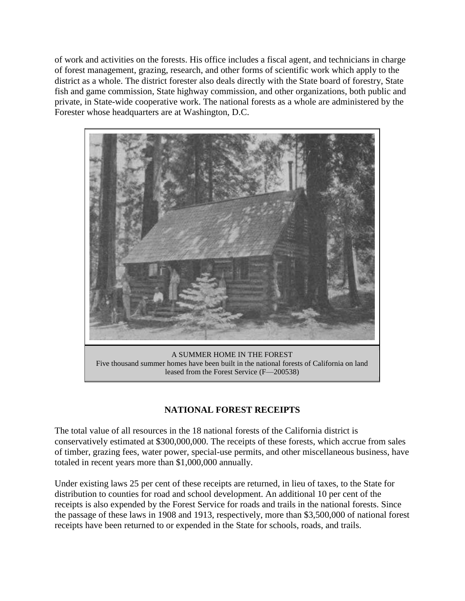of work and activities on the forests. His office includes a fiscal agent, and technicians in charge of forest management, grazing, research, and other forms of scientific work which apply to the district as a whole. The district forester also deals directly with the State board of forestry, State fish and game commission, State highway commission, and other organizations, both public and private, in State-wide cooperative work. The national forests as a whole are administered by the Forester whose headquarters are at Washington, D.C.



### **NATIONAL FOREST RECEIPTS**

The total value of all resources in the 18 national forests of the California district is conservatively estimated at \$300,000,000. The receipts of these forests, which accrue from sales of timber, grazing fees, water power, special-use permits, and other miscellaneous business, have totaled in recent years more than \$1,000,000 annually.

Under existing laws 25 per cent of these receipts are returned, in lieu of taxes, to the State for distribution to counties for road and school development. An additional 10 per cent of the receipts is also expended by the Forest Service for roads and trails in the national forests. Since the passage of these laws in 1908 and 1913, respectively, more than \$3,500,000 of national forest receipts have been returned to or expended in the State for schools, roads, and trails.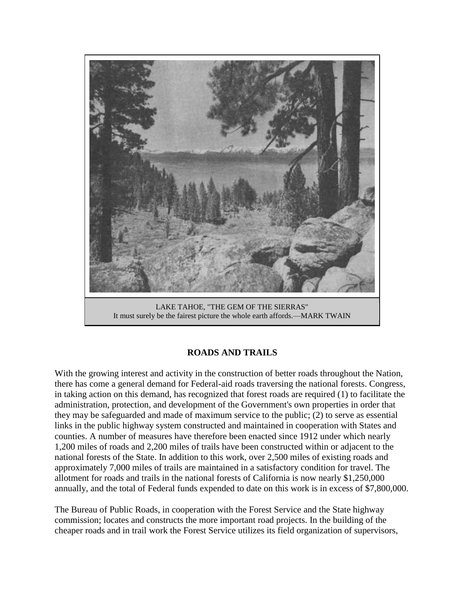

### **ROADS AND TRAILS**

With the growing interest and activity in the construction of better roads throughout the Nation, there has come a general demand for Federal-aid roads traversing the national forests. Congress, in taking action on this demand, has recognized that forest roads are required (1) to facilitate the administration, protection, and development of the Government's own properties in order that they may be safeguarded and made of maximum service to the public; (2) to serve as essential links in the public highway system constructed and maintained in cooperation with States and counties. A number of measures have therefore been enacted since 1912 under which nearly 1,200 miles of roads and 2,200 miles of trails have been constructed within or adjacent to the national forests of the State. In addition to this work, over 2,500 miles of existing roads and approximately 7,000 miles of trails are maintained in a satisfactory condition for travel. The allotment for roads and trails in the national forests of California is now nearly \$1,250,000 annually, and the total of Federal funds expended to date on this work is in excess of \$7,800,000.

The Bureau of Public Roads, in cooperation with the Forest Service and the State highway commission; locates and constructs the more important road projects. In the building of the cheaper roads and in trail work the Forest Service utilizes its field organization of supervisors,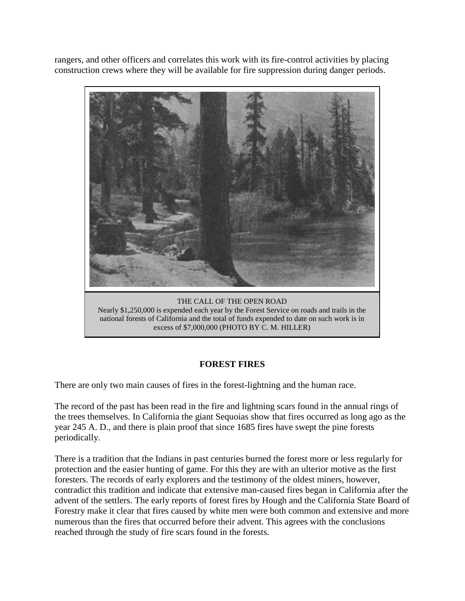rangers, and other officers and correlates this work with its fire-control activities by placing construction crews where they will be available for fire suppression during danger periods.



national forests of California and the total of funds expended to date on such work is in excess of \$7,000,000 (PHOTO BY C. M. HILLER)

### **FOREST FIRES**

There are only two main causes of fires in the forest-lightning and the human race.

The record of the past has been read in the fire and lightning scars found in the annual rings of the trees themselves. In California the giant Sequoias show that fires occurred as long ago as the year 245 A. D., and there is plain proof that since 1685 fires have swept the pine forests periodically.

There is a tradition that the Indians in past centuries burned the forest more or less regularly for protection and the easier hunting of game. For this they are with an ulterior motive as the first foresters. The records of early explorers and the testimony of the oldest miners, however, contradict this tradition and indicate that extensive man-caused fires began in California after the advent of the settlers. The early reports of forest fires by Hough and the California State Board of Forestry make it clear that fires caused by white men were both common and extensive and more numerous than the fires that occurred before their advent. This agrees with the conclusions reached through the study of fire scars found in the forests.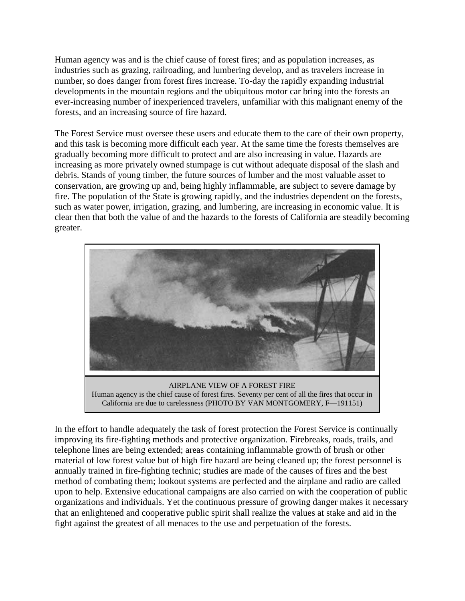Human agency was and is the chief cause of forest fires; and as population increases, as industries such as grazing, railroading, and lumbering develop, and as travelers increase in number, so does danger from forest fires increase. To-day the rapidly expanding industrial developments in the mountain regions and the ubiquitous motor car bring into the forests an ever-increasing number of inexperienced travelers, unfamiliar with this malignant enemy of the forests, and an increasing source of fire hazard.

The Forest Service must oversee these users and educate them to the care of their own property, and this task is becoming more difficult each year. At the same time the forests themselves are gradually becoming more difficult to protect and are also increasing in value. Hazards are increasing as more privately owned stumpage is cut without adequate disposal of the slash and debris. Stands of young timber, the future sources of lumber and the most valuable asset to conservation, are growing up and, being highly inflammable, are subject to severe damage by fire. The population of the State is growing rapidly, and the industries dependent on the forests, such as water power, irrigation, grazing, and lumbering, are increasing in economic value. It is clear then that both the value of and the hazards to the forests of California are steadily becoming greater.



AIRPLANE VIEW OF A FOREST FIRE Human agency is the chief cause of forest fires. Seventy per cent of all the fires that occur in California are due to carelessness (PHOTO BY VAN MONTGOMERY, F—191151)

In the effort to handle adequately the task of forest protection the Forest Service is continually improving its fire-fighting methods and protective organization. Firebreaks, roads, trails, and telephone lines are being extended; areas containing inflammable growth of brush or other material of low forest value but of high fire hazard are being cleaned up; the forest personnel is annually trained in fire-fighting technic; studies are made of the causes of fires and the best method of combating them; lookout systems are perfected and the airplane and radio are called upon to help. Extensive educational campaigns are also carried on with the cooperation of public organizations and individuals. Yet the continuous pressure of growing danger makes it necessary that an enlightened and cooperative public spirit shall realize the values at stake and aid in the fight against the greatest of all menaces to the use and perpetuation of the forests.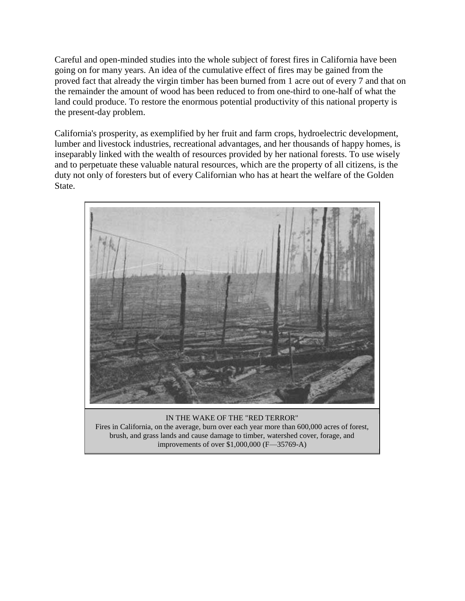Careful and open-minded studies into the whole subject of forest fires in California have been going on for many years. An idea of the cumulative effect of fires may be gained from the proved fact that already the virgin timber has been burned from 1 acre out of every 7 and that on the remainder the amount of wood has been reduced to from one-third to one-half of what the land could produce. To restore the enormous potential productivity of this national property is the present-day problem.

California's prosperity, as exemplified by her fruit and farm crops, hydroelectric development, lumber and livestock industries, recreational advantages, and her thousands of happy homes, is inseparably linked with the wealth of resources provided by her national forests. To use wisely and to perpetuate these valuable natural resources, which are the property of all citizens, is the duty not only of foresters but of every Californian who has at heart the welfare of the Golden State.



IN THE WAKE OF THE "RED TERROR" Fires in California, on the average, burn over each year more than 600,000 acres of forest, brush, and grass lands and cause damage to timber, watershed cover, forage, and improvements of over \$1,000,000 (F—35769-A)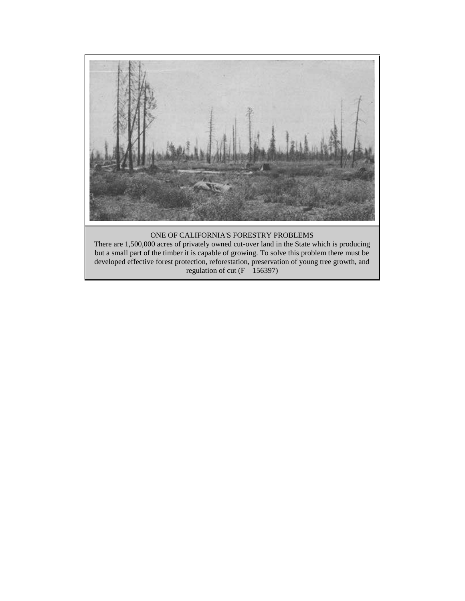

#### ONE OF CALIFORNIA'S FORESTRY PROBLEMS

There are 1,500,000 acres of privately owned cut-over land in the State which is producing but a small part of the timber it is capable of growing. To solve this problem there must be developed effective forest protection, reforestation, preservation of young tree growth, and regulation of cut (F—156397)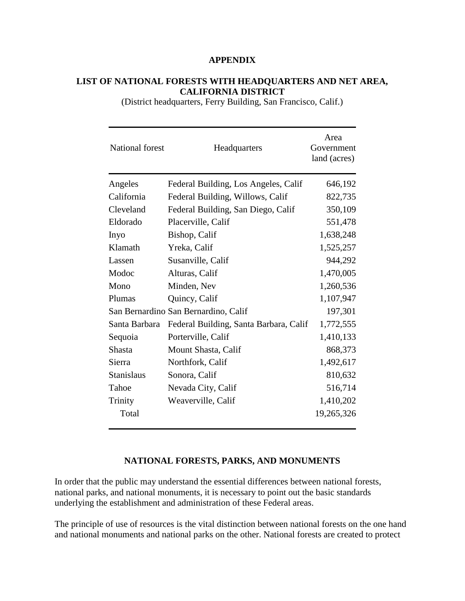#### **APPENDIX**

### **LIST OF NATIONAL FORESTS WITH HEADQUARTERS AND NET AREA, CALIFORNIA DISTRICT**

(District headquarters, Ferry Building, San Francisco, Calif.)

| <b>National forest</b> | Headquarters                           | Area<br>Government<br>land (acres) |
|------------------------|----------------------------------------|------------------------------------|
| Angeles                | Federal Building, Los Angeles, Calif   | 646,192                            |
| California             | Federal Building, Willows, Calif       | 822,735                            |
| Cleveland              | Federal Building, San Diego, Calif     | 350,109                            |
| Eldorado               | Placerville, Calif                     | 551,478                            |
| Inyo                   | Bishop, Calif                          | 1,638,248                          |
| Klamath                | Yreka, Calif                           | 1,525,257                          |
| Lassen                 | Susanville, Calif                      | 944,292                            |
| Modoc                  | Alturas, Calif                         | 1,470,005                          |
| Mono                   | Minden, Nev                            | 1,260,536                          |
| Plumas                 | Quincy, Calif                          | 1,107,947                          |
|                        | San Bernardino San Bernardino, Calif   | 197,301                            |
| Santa Barbara          | Federal Building, Santa Barbara, Calif | 1,772,555                          |
| Sequoia                | Porterville, Calif                     | 1,410,133                          |
| <b>Shasta</b>          | Mount Shasta, Calif                    | 868,373                            |
| Sierra                 | Northfork, Calif                       | 1,492,617                          |
| <b>Stanislaus</b>      | Sonora, Calif                          | 810,632                            |
| Tahoe                  | Nevada City, Calif                     | 516,714                            |
| Trinity                | Weaverville, Calif                     | 1,410,202                          |
| Total                  |                                        | 19,265,326                         |

#### **NATIONAL FORESTS, PARKS, AND MONUMENTS**

In order that the public may understand the essential differences between national forests, national parks, and national monuments, it is necessary to point out the basic standards underlying the establishment and administration of these Federal areas.

The principle of use of resources is the vital distinction between national forests on the one hand and national monuments and national parks on the other. National forests are created to protect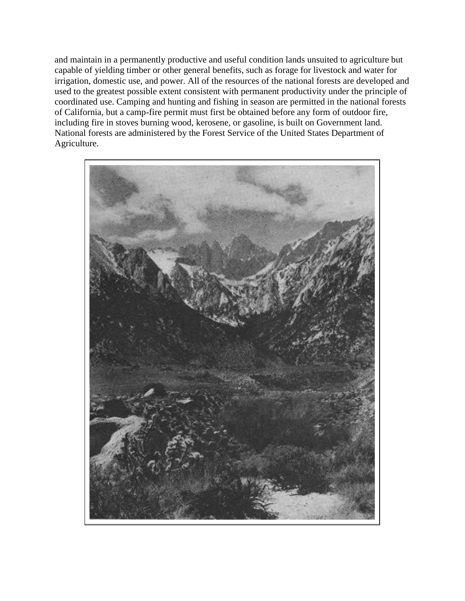and maintain in a permanently productive and useful condition lands unsuited to agriculture but capable of yielding timber or other general benefits, such as forage for livestock and water for irrigation, domestic use, and power. All of the resources of the national forests are developed and used to the greatest possible extent consistent with permanent productivity under the principle of coordinated use. Camping and hunting and fishing in season are permitted in the national forests of California, but a camp-fire permit must first be obtained before any form of outdoor fire, including fire in stoves burning wood, kerosene, or gasoline, is built on Government land. National forests are administered by the Forest Service of the United States Department of Agriculture.

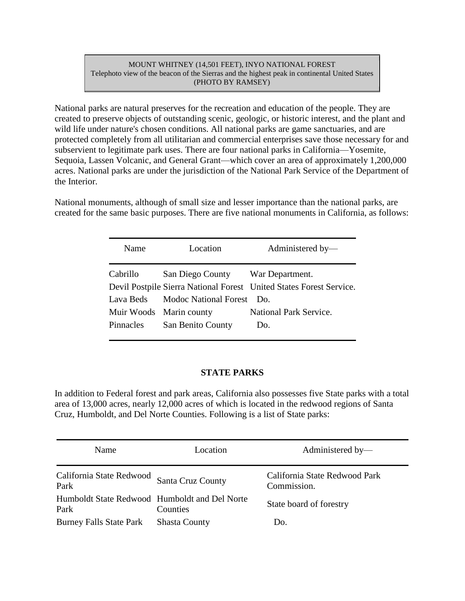#### MOUNT WHITNEY (14,501 FEET), INYO NATIONAL FOREST Telephoto view of the beacon of the Sierras and the highest peak in continental United States (PHOTO BY RAMSEY)

National parks are natural preserves for the recreation and education of the people. They are created to preserve objects of outstanding scenic, geologic, or historic interest, and the plant and wild life under nature's chosen conditions. All national parks are game sanctuaries, and are protected completely from all utilitarian and commercial enterprises save those necessary for and subservient to legitimate park uses. There are four national parks in California—Yosemite, Sequoia, Lassen Volcanic, and General Grant—which cover an area of approximately 1,200,000 acres. National parks are under the jurisdiction of the National Park Service of the Department of the Interior.

National monuments, although of small size and lesser importance than the national parks, are created for the same basic purposes. There are five national monuments in California, as follows:

| Name                    | Location                         | Administered by-                                                    |
|-------------------------|----------------------------------|---------------------------------------------------------------------|
| Cabrillo                | San Diego County War Department. |                                                                     |
|                         |                                  | Devil Postpile Sierra National Forest United States Forest Service. |
| Lava Beds               | Modoc National Forest Do.        |                                                                     |
| Muir Woods Marin county |                                  | National Park Service.                                              |
| <b>Pinnacles</b>        | San Benito County                | Do.                                                                 |

#### **STATE PARKS**

In addition to Federal forest and park areas, California also possesses five State parks with a total area of 13,000 acres, nearly 12,000 acres of which is located in the redwood regions of Santa Cruz, Humboldt, and Del Norte Counties. Following is a list of State parks:

| Name                                                  | Location             | Administered by-                             |
|-------------------------------------------------------|----------------------|----------------------------------------------|
| California State Redwood<br>Park                      | Santa Cruz County    | California State Redwood Park<br>Commission. |
| Humboldt State Redwood Humboldt and Del Norte<br>Park | Counties             | State board of forestry                      |
| <b>Burney Falls State Park</b>                        | <b>Shasta County</b> | Do.                                          |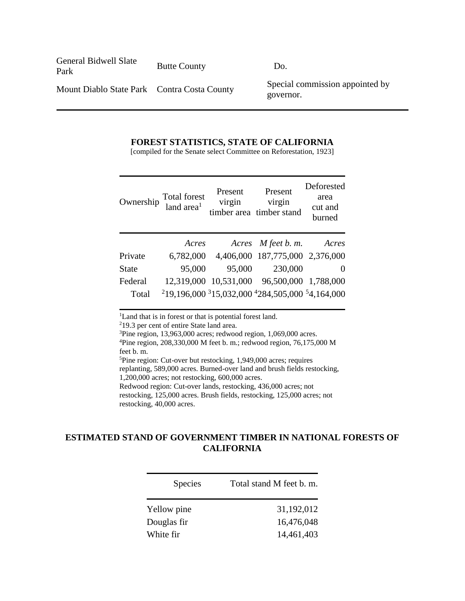General Bidwell Slate Park Butte County Do.

Mount Diablo State Park Contra Costa County Special commission appointed by governor.

#### **FOREST STATISTICS, STATE OF CALIFORNIA**

[compiled for the Senate select Committee on Reforestation, 1923]

| Ownership    | Total forest<br>land area <sup>1</sup> | Present<br>virgin | Present<br>virgin<br>timber area timber stand                                                   | Deforested<br>area<br>cut and<br>burned |
|--------------|----------------------------------------|-------------------|-------------------------------------------------------------------------------------------------|-----------------------------------------|
|              | Acres                                  |                   | Acres M feet b. m.                                                                              | Acres                                   |
| Private      | 6,782,000                              |                   | 4,406,000 187,775,000 2,376,000                                                                 |                                         |
| <b>State</b> | 95,000                                 | 95,000            | 230,000                                                                                         |                                         |
| Federal      |                                        |                   | 12,319,000 10,531,000 96,500,000 1,788,000                                                      |                                         |
| Total        |                                        |                   | <sup>2</sup> 19,196,000 <sup>3</sup> 15,032,000 <sup>4</sup> 284,505,000 <sup>5</sup> 4,164,000 |                                         |

<sup>1</sup>Land that is in forest or that is potential forest land.

<sup>2</sup>19.3 per cent of entire State land area.

<sup>3</sup>Pine region, 13,963,000 acres; redwood region, 1,069,000 acres.

<sup>4</sup>Pine region, 208,330,000 M feet b. m.; redwood region, 76,175,000 M feet b. m.

<sup>5</sup>Pine region: Cut-over but restocking, 1,949,000 acres; requires replanting, 589,000 acres. Burned-over land and brush fields restocking,

1,200,000 acres; not restocking, 600,000 acres.

Redwood region: Cut-over lands, restocking, 436,000 acres; not

restocking, 125,000 acres. Brush fields, restocking, 125,000 acres; not restocking, 40,000 acres.

### **ESTIMATED STAND OF GOVERNMENT TIMBER IN NATIONAL FORESTS OF CALIFORNIA**

| <b>Species</b> | Total stand M feet b. m. |
|----------------|--------------------------|
| Yellow pine    | 31,192,012               |
| Douglas fir    | 16,476,048               |
| White fir      | 14,461,403               |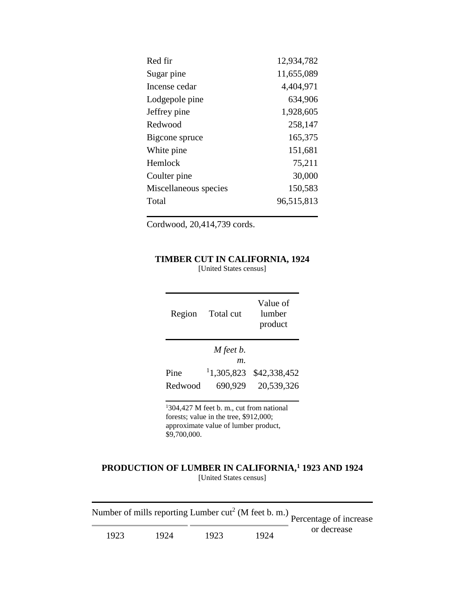| Red fir               | 12,934,782 |
|-----------------------|------------|
| Sugar pine            | 11,655,089 |
| Incense cedar         | 4,404,971  |
| Lodgepole pine        | 634,906    |
| Jeffrey pine          | 1,928,605  |
| Redwood               | 258,147    |
| Bigcone spruce        | 165,375    |
| White pine            | 151,681    |
| Hemlock               | 75,211     |
| Coulter pine          | 30,000     |
| Miscellaneous species | 150,583    |
| Total                 | 96,515,813 |
|                       |            |

Cordwood, 20,414,739 cords.

#### **TIMBER CUT IN CALIFORNIA, 1924**

[United States census]

| Region  | Total cut | Value of<br>lumber<br>product |
|---------|-----------|-------------------------------|
|         | M feet b. |                               |
|         | т.        |                               |
| Pine    | 1,305,823 | \$42,338,452                  |
| Redwood | 690,929   | 20,539,326                    |
|         |           |                               |

<sup>1</sup>304,427 M feet b. m., cut from national forests; value in the tree, \$912,000; approximate value of lumber product, \$9,700,000.

#### **PRODUCTION OF LUMBER IN CALIFORNIA,<sup>1</sup> 1923 AND 1924** [United States census]

|      |      |      |      | Number of mills reporting Lumber $cut^2$ (M feet b. m.)<br>Percentage of increase |
|------|------|------|------|-----------------------------------------------------------------------------------|
| 1923 | 1924 | 1923 | 1924 | or decrease                                                                       |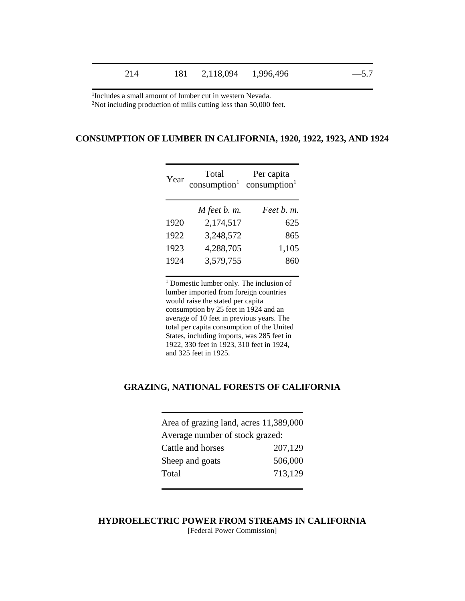1 Includes a small amount of lumber cut in western Nevada. <sup>2</sup>Not including production of mills cutting less than 50,000 feet.

#### **CONSUMPTION OF LUMBER IN CALIFORNIA, 1920, 1922, 1923, AND 1924**

| Year | Total<br>$consumption1 consumption1$ | Per capita |
|------|--------------------------------------|------------|
|      | $M$ feet $b.$ $m.$                   | Feet b. m. |
| 1920 | 2,174,517                            | 625        |
| 1922 | 3,248,572                            | 865        |
| 1923 | 4,288,705                            | 1,105      |
| 1924 | 3,579,755                            | 860        |
|      |                                      |            |

<sup>1</sup> Domestic lumber only. The inclusion of lumber imported from foreign countries would raise the stated per capita consumption by 25 feet in 1924 and an average of 10 feet in previous years. The total per capita consumption of the United States, including imports, was 285 feet in 1922, 330 feet in 1923, 310 feet in 1924, and 325 feet in 1925.

#### **GRAZING, NATIONAL FORESTS OF CALIFORNIA**

| Area of grazing land, acres 11,389,000 |         |
|----------------------------------------|---------|
| Average number of stock grazed:        |         |
| Cattle and horses                      | 207,129 |
| Sheep and goats                        | 506,000 |
| Total                                  | 713,129 |
|                                        |         |

**HYDROELECTRIC POWER FROM STREAMS IN CALIFORNIA** [Federal Power Commission]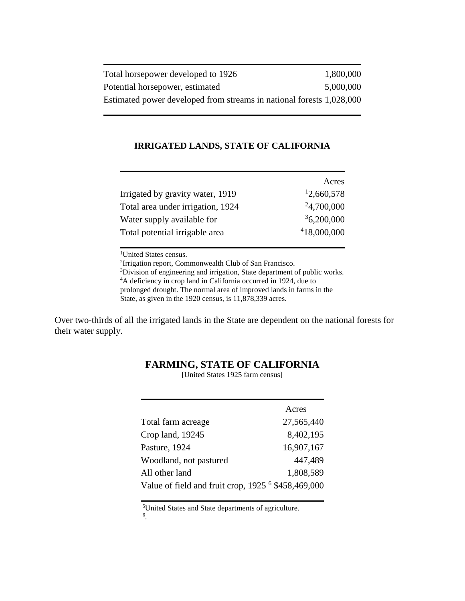| Total horsepower developed to 1926                                   | 1,800,000 |
|----------------------------------------------------------------------|-----------|
| Potential horsepower, estimated                                      | 5,000,000 |
| Estimated power developed from streams in national forests 1,028,000 |           |

#### **IRRIGATED LANDS, STATE OF CALIFORNIA**

|                                   | Acres       |
|-----------------------------------|-------------|
| Irrigated by gravity water, 1919  | 12,660,578  |
| Total area under irrigation, 1924 | 24,700,000  |
| Water supply available for        | 36,200,000  |
| Total potential irrigable area    | 418,000,000 |

<sup>1</sup>United States census.

<sup>2</sup>Irrigation report, Commonwealth Club of San Francisco.

<sup>3</sup>Division of engineering and irrigation, State department of public works. <sup>4</sup>A deficiency in crop land in California occurred in 1924, due to prolonged drought. The normal area of improved lands in farms in the

State, as given in the 1920 census, is 11,878,339 acres.

Over two-thirds of all the irrigated lands in the State are dependent on the national forests for their water supply.

[United States 1925 farm census]

|                                                      | Acres      |
|------------------------------------------------------|------------|
| Total farm acreage                                   | 27,565,440 |
| Crop land, 19245                                     | 8,402,195  |
| Pasture, 1924                                        | 16,907,167 |
| Woodland, not pastured                               | 447,489    |
| All other land                                       | 1,808,589  |
| Value of field and fruit crop, $19256$ \$458,469,000 |            |

<sup>5</sup>United States and State departments of agriculture.

6 .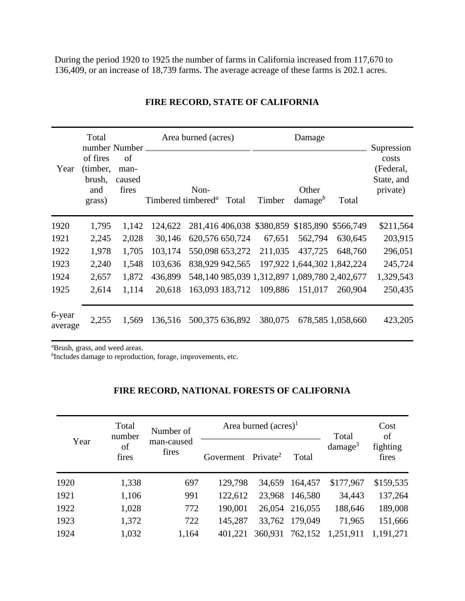During the period 1920 to 1925 the number of farms in California increased from 117,670 to 136,409, or an increase of 18,739 farms. The average acreage of these farms is 202.1 acres.

| Year              | Total<br>number Number<br>of fires<br>(timber,<br>brush,<br>and<br>grass) | of<br>man-<br>caused<br>fires |         | Area burned (acres)<br>Non-<br>Timbered timbered <sup>a</sup> | Total           | Timber  | Damage<br>Other<br>$\text{damage}^b$ | Total                                         | Supression<br>costs<br>(Federal,<br>State, and<br>private) |
|-------------------|---------------------------------------------------------------------------|-------------------------------|---------|---------------------------------------------------------------|-----------------|---------|--------------------------------------|-----------------------------------------------|------------------------------------------------------------|
| 1920              | 1,795                                                                     | 1,142                         | 124,622 |                                                               |                 |         |                                      | 281,416 406,038 \$380,859 \$185,890 \$566,749 | \$211,564                                                  |
| 1921              | 2,245                                                                     | 2,028                         | 30,146  |                                                               | 620,576 650,724 | 67,651  | 562,794                              | 630,645                                       | 203,915                                                    |
| 1922              | 1,978                                                                     | 1,705                         | 103,174 |                                                               | 550,098 653,272 | 211,035 | 437,725                              | 648,760                                       | 296,051                                                    |
| 1923              | 2,240                                                                     | 1,548                         | 103,636 |                                                               | 838,929 942,565 |         |                                      | 197,922 1,644,302 1,842,224                   | 245,724                                                    |
| 1924              | 2,657                                                                     | 1,872                         | 436,899 |                                                               |                 |         |                                      | 548,140 985,039 1,312,897 1,089,780 2,402,677 | 1,329,543                                                  |
| 1925              | 2,614                                                                     | 1,114                         | 20,618  |                                                               | 163,093 183,712 | 109,886 | 151,017                              | 260,904                                       | 250,435                                                    |
| 6-year<br>average | 2,255                                                                     | 1,569                         | 136,516 |                                                               | 500,375 636,892 | 380,075 |                                      | 678,585 1,058,660                             | 423,205                                                    |

### **FIRE RECORD, STATE OF CALIFORNIA**

*<sup>a</sup>*Brush, grass, and weed areas.

*b* Includes damage to reproduction, forage, improvements, etc.

### **FIRE RECORD, NATIONAL FORESTS OF CALIFORNIA**

| Year | Total<br>number<br>of<br>fires | Number of<br>man-caused<br>fires |                                | Area burned $(\text{acres})^1$ | Total          | Cost<br>of             |                   |
|------|--------------------------------|----------------------------------|--------------------------------|--------------------------------|----------------|------------------------|-------------------|
|      |                                |                                  | Goverment Private <sup>2</sup> |                                | Total          | $d$ amage <sup>3</sup> | fighting<br>fires |
| 1920 | 1,338                          | 697                              | 129,798                        |                                | 34,659 164,457 | \$177,967              | \$159,535         |
| 1921 | 1,106                          | 991                              | 122,612                        |                                | 23,968 146,580 | 34,443                 | 137,264           |
| 1922 | 1,028                          | 772                              | 190,001                        |                                | 26,054 216,055 | 188,646                | 189,008           |
| 1923 | 1,372                          | 722                              | 145,287                        |                                | 33,762 179,049 | 71,965                 | 151,666           |
| 1924 | 1,032                          | 1,164                            | 401.221                        | 360,931                        | 762,152        | 1,251,911              | 1,191,271         |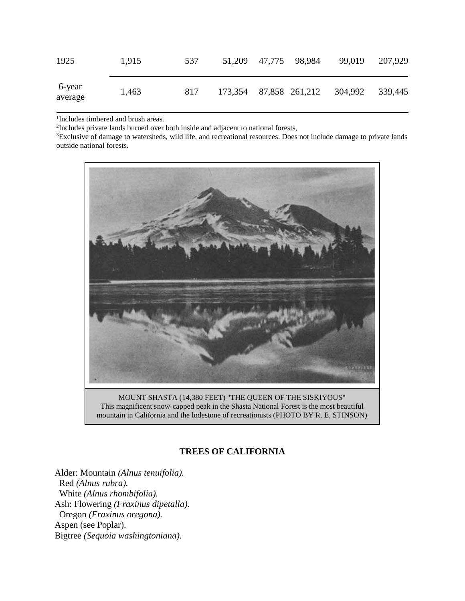| 1925              | 1,915 | 537 | 51,209 47,775 98,984 |                        | 99,019  | 207,929 |
|-------------------|-------|-----|----------------------|------------------------|---------|---------|
| 6-year<br>average | 1,463 | 817 |                      | 173,354 87,858 261,212 | 304,992 | 339,445 |

1 Includes timbered and brush areas.

<sup>2</sup>Includes private lands burned over both inside and adjacent to national forests,

<sup>3</sup>Exclusive of damage to watersheds, wild life, and recreational resources. Does not include damage to private lands outside national forests.



MOUNT SHASTA (14,380 FEET) "THE QUEEN OF THE SISKIYOUS" This magnificent snow-capped peak in the Shasta National Forest is the most beautiful mountain in California and the lodestone of recreationists (PHOTO BY R. E. STINSON)

### **TREES OF CALIFORNIA**

Alder: Mountain *(Alnus tenuifolia).* Red *(Alnus rubra).* White *(Alnus rhombifolia).* Ash: Flowering *(Fraxinus dipetalla).* Oregon *(Fraxinus oregona).* Aspen (see Poplar). Bigtree *(Sequoia washingtoniana).*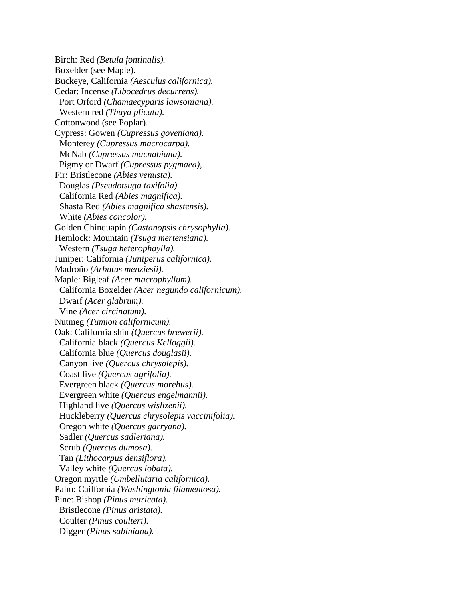Birch: Red *(Betula fontinalis).* Boxelder (see Maple). Buckeye, California *(Aesculus californica).* Cedar: Incense *(Libocedrus decurrens).* Port Orford *(Chamaecyparis lawsoniana).* Western red *(Thuya plicata).* Cottonwood (see Poplar). Cypress: Gowen *(Cupressus goveniana).* Monterey *(Cupressus macrocarpa).* McNab *(Cupressus macnabiana).* Pigmy or Dwarf *(Cupressus pygmaea),* Fir: Bristlecone *(Abies venusta).* Douglas *(Pseudotsuga taxifolia).* California Red *(Abies magnifica).* Shasta Red *(Abies magnifica shastensis).* White *(Abies concolor).* Golden Chinquapin *(Castanopsis chrysophylla).* Hemlock: Mountain *(Tsuga mertensiana).* Western *(Tsuga heterophaylla).* Juniper: California *(Juniperus californica).* Madroño *(Arbutus menziesii).* Maple: Bigleaf *(Acer macrophyllum).* California Boxelder *(Acer negundo californicum).* Dwarf *(Acer glabrum).* Vine *(Acer circinatum).* Nutmeg *(Tumion californicum).* Oak: California shin *(Quercus brewerii).* California black *(Quercus Kelloggii).* California blue *(Quercus douglasii).* Canyon live *(Quercus chrysolepis).* Coast live *(Quercus agrifolia).* Evergreen black *(Quercus morehus).* Evergreen white *(Quercus engelmannii).* Highland live *(Quercus wislizenii).* Huckleberry *(Quercus chrysolepis vaccinifolia).* Oregon white *(Quercus garryana).* Sadler *(Quercus sadleriana).* Scrub *(Quercus dumosa).* Tan *(Lithocarpus densiflora).* Valley white *(Quercus lobata).* Oregon myrtle *(Umbellutaria californica).* Palm: Cailfornia *(Washingtonia filamentosa).* Pine: Bishop *(Pinus muricata).* Bristlecone *(Pinus aristata).* Coulter *(Pinus coulteri).* Digger *(Pinus sabiniana).*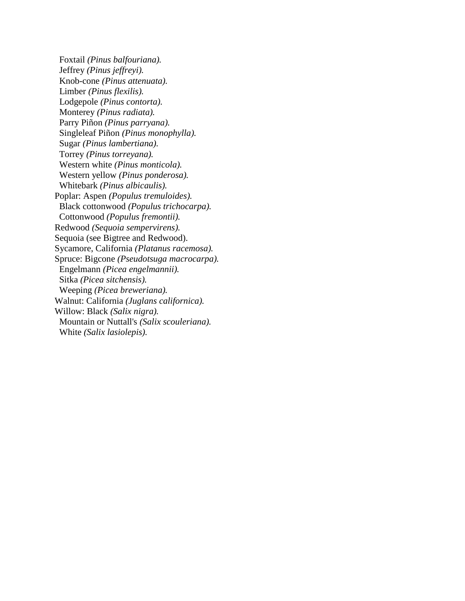Foxtail *(Pinus balfouriana).* Jeffrey *(Pinus jeffreyi).* Knob-cone *(Pinus attenuata).* Limber *(Pinus flexilis).* Lodgepole *(Pinus contorta).* Monterey *(Pinus radiata).* Parry Piñon *(Pinus parryana).* Singleleaf Piñon *(Pinus monophylla).* Sugar *(Pinus lambertiana).* Torrey *(Pinus torreyana).* Western white *(Pinus monticola).* Western yellow *(Pinus ponderosa).* Whitebark *(Pinus albicaulis).* Poplar: Aspen *(Populus tremuloides).* Black cottonwood *(Populus trichocarpa).* Cottonwood *(Populus fremontii).* Redwood *(Sequoia sempervirens).* Sequoia (see Bigtree and Redwood). Sycamore, California *(Platanus racemosa).* Spruce: Bigcone *(Pseudotsuga macrocarpa).* Engelmann *(Picea engelmannii).* Sitka *(Picea sitchensis).* Weeping *(Picea breweriana).* Walnut: California *(Juglans californica).* Willow: Black *(Salix nigra).* Mountain or Nuttall's *(Salix scouleriana).* White *(Salix lasiolepis).*